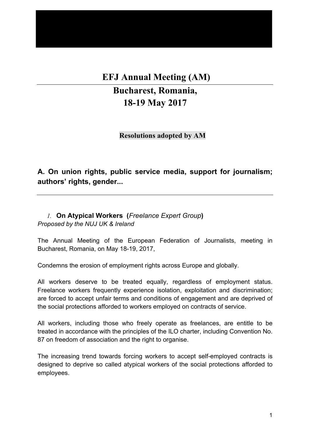# **EFJ Annual Meeting (AM)**

# **Bucharest, Romania, 18-19 May 2017**

**Resolutions adopted by AM**

**A. On union rights, public service media, support for journalism; authors' rights, gender...**

*1.* **On Atypical Workers (***Freelance Expert Group***)** *Proposed by the NUJ UK & Ireland*

The Annual Meeting of the European Federation of Journalists, meeting in Bucharest, Romania, on May 18-19, 2017,

Condemns the erosion of employment rights across Europe and globally.

All workers deserve to be treated equally, regardless of employment status. Freelance workers frequently experience isolation, exploitation and discrimination; are forced to accept unfair terms and conditions of engagement and are deprived of the social protections afforded to workers employed on contracts of service.

All workers, including those who freely operate as freelances, are entitle to be treated in accordance with the principles of the ILO charter, including Convention No. 87 on freedom of association and the right to organise.

The increasing trend towards forcing workers to accept self-employed contracts is designed to deprive so called atypical workers of the social protections afforded to employees.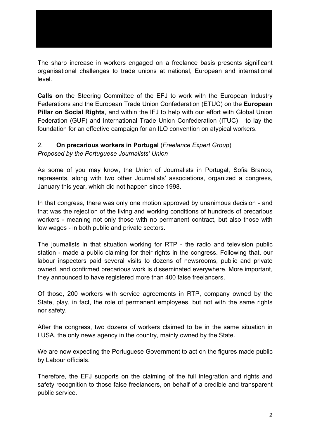The sharp increase in workers engaged on a freelance basis presents significant organisational challenges to trade unions at national, European and international level.

**Calls on** the Steering Committee of the EFJ to work with the European Industry Federations and the European Trade Union Confederation (ETUC) on the **European Pillar on Social Rights**, and within the IFJ to help with our effort with Global Union Federation (GUF) and International Trade Union Confederation (ITUC) to lay the foundation for an effective campaign for an ILO convention on atypical workers.

## 2. **On precarious workers in Portugal** (*Freelance Expert Group*)

*Proposed by the Portuguese Journalists' Union*

As some of you may know, the Union of Journalists in Portugal, Sofia Branco, represents, along with two other Journalists' associations, organized a congress, January this year, which did not happen since 1998.

In that congress, there was only one motion approved by unanimous decision - and that was the rejection of the living and working conditions of hundreds of precarious workers - meaning not only those with no permanent contract, but also those with low wages - in both public and private sectors.

The journalists in that situation working for RTP - the radio and television public station - made a public claiming for their rights in the congress. Following that, our labour inspectors paid several visits to dozens of newsrooms, public and private owned, and confirmed precarious work is disseminated everywhere. More important, they announced to have registered more than 400 false freelancers.

Of those, 200 workers with service agreements in RTP, company owned by the State, play, in fact, the role of permanent employees, but not with the same rights nor safety.

After the congress, two dozens of workers claimed to be in the same situation in LUSA, the only news agency in the country, mainly owned by the State.

We are now expecting the Portuguese Government to act on the figures made public by Labour officials.

Therefore, the EFJ supports on the claiming of the full integration and rights and safety recognition to those false freelancers, on behalf of a credible and transparent public service.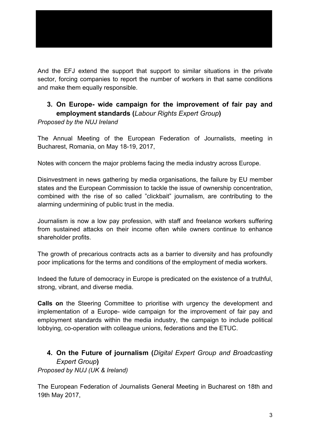And the EFJ extend the support that support to similar situations in the private sector, forcing companies to report the number of workers in that same conditions and make them equally responsible.

# **3. On Europe- wide campaign for the improvement of fair pay and employment standards (***Labour Rights Expert Group***)**

*Proposed by the NUJ Ireland*

The Annual Meeting of the European Federation of Journalists, meeting in Bucharest, Romania, on May 18-19, 2017,

Notes with concern the major problems facing the media industry across Europe.

Disinvestment in news gathering by media organisations, the failure by EU member states and the European Commission to tackle the issue of ownership concentration, combined with the rise of so called "clickbait" journalism, are contributing to the alarming undermining of public trust in the media.

Journalism is now a low pay profession, with staff and freelance workers suffering from sustained attacks on their income often while owners continue to enhance shareholder profits.

The growth of precarious contracts acts as a barrier to diversity and has profoundly poor implications for the terms and conditions of the employment of media workers.

Indeed the future of democracy in Europe is predicated on the existence of a truthful, strong, vibrant, and diverse media.

**Calls on** the Steering Committee to prioritise with urgency the development and implementation of a Europe- wide campaign for the improvement of fair pay and employment standards within the media industry, the campaign to include political lobbying, co-operation with colleague unions, federations and the ETUC.

# **4. On the Future of journalism (***Digital Expert Group and Broadcasting Expert Group***)** *Proposed by NUJ (UK & Ireland)*

The European Federation of Journalists General Meeting in Bucharest on 18th and 19th May 2017,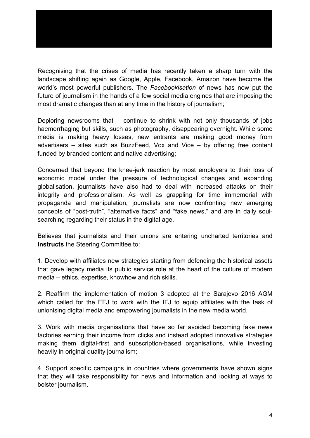Recognising that the crises of media has recently taken a sharp turn with the landscape shifting again as Google, Apple, Facebook, Amazon have become the world's most powerful publishers. The *Facebookisation* of news has now put the future of journalism in the hands of a few social media engines that are imposing the most dramatic changes than at any time in the history of journalism;

Deploring newsrooms that continue to shrink with not only thousands of jobs haemorrhaging but skills, such as photography, disappearing overnight. While some media is making heavy losses, new entrants are making good money from advertisers – sites such as BuzzFeed, Vox and Vice – by offering free content funded by branded content and native advertising;

Concerned that beyond the knee-jerk reaction by most employers to their loss of economic model under the pressure of technological changes and expanding globalisation, journalists have also had to deal with increased attacks on their integrity and professionalism. As well as grappling for time immemorial with propaganda and manipulation, journalists are now confronting new emerging concepts of "post-truth", "alternative facts" and "fake news," and are in daily soulsearching regarding their status in the digital age.

Believes that journalists and their unions are entering uncharted territories and **instructs** the Steering Committee to:

1. Develop with affiliates new strategies starting from defending the historical assets that gave legacy media its public service role at the heart of the culture of modern media – ethics, expertise, knowhow and rich skills.

2. Reaffirm the implementation of motion 3 adopted at the Sarajevo 2016 AGM which called for the EFJ to work with the IFJ to equip affiliates with the task of unionising digital media and empowering journalists in the new media world.

3. Work with media organisations that have so far avoided becoming fake news factories earning their income from clicks and instead adopted innovative strategies making them digital-first and subscription-based organisations, while investing heavily in original quality journalism;

4. Support specific campaigns in countries where governments have shown signs that they will take responsibility for news and information and looking at ways to bolster journalism.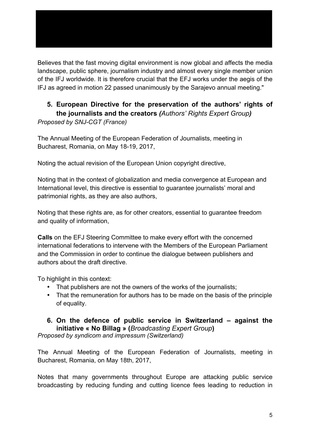Believes that the fast moving digital environment is now global and affects the media landscape, public sphere, journalism industry and almost every single member union of the IFJ worldwide. It is therefore crucial that the EFJ works under the aegis of the IFJ as agreed in motion 22 passed unanimously by the Sarajevo annual meeting."

# **5. European Directive for the preservation of the authors' rights of the journalists and the creators** *(Authors' Rights Expert Group)*

*Proposed by SNJ-CGT (France)*

The Annual Meeting of the European Federation of Journalists, meeting in Bucharest, Romania, on May 18-19, 2017,

Noting the actual revision of the European Union copyright directive,

Noting that in the context of globalization and media convergence at European and International level, this directive is essential to guarantee journalists' moral and patrimonial rights, as they are also authors,

Noting that these rights are, as for other creators, essential to guarantee freedom and quality of information,

**Calls** on the EFJ Steering Committee to make every effort with the concerned international federations to intervene with the Members of the European Parliament and the Commission in order to continue the dialogue between publishers and authors about the draft directive.

To highlight in this context:

- That publishers are not the owners of the works of the journalists;
- That the remuneration for authors has to be made on the basis of the principle of equality.

# **6. On the defence of public service in Switzerland – against the initiative « No Billag » (***Broadcasting Expert Group***)**

*Proposed by syndicom and impressum (Switzerland)*

The Annual Meeting of the European Federation of Journalists, meeting in Bucharest, Romania, on May 18th, 2017,

Notes that many governments throughout Europe are attacking public service broadcasting by reducing funding and cutting licence fees leading to reduction in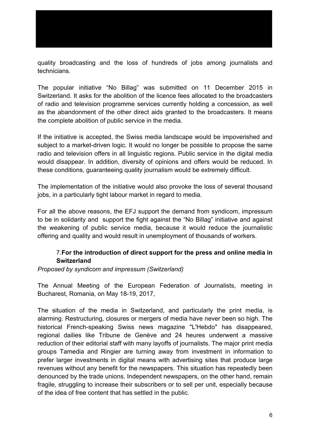quality broadcasting and the loss of hundreds of jobs among journalists and technicians.

The popular initiative "No Billag" was submitted on 11 December 2015 in Switzerland. It asks for the abolition of the licence fees allocated to the broadcasters of radio and television programme services currently holding a concession, as well as the abandonment of the other direct aids granted to the broadcasters. It means the complete abolition of public service in the media.

If the initiative is accepted, the Swiss media landscape would be impoverished and subject to a market-driven logic. It would no longer be possible to propose the same radio and television offers in all linguistic regions. Public service in the digital media would disappear. In addition, diversity of opinions and offers would be reduced. In these conditions, guaranteeing quality journalism would be extremely difficult.

The implementation of the initiative would also provoke the loss of several thousand jobs, in a particularly tight labour market in regard to media.

For all the above reasons, the EFJ support the demand from syndicom, impressum to be in solidarity and support the fight against the "No Billag" initiative and against the weakening of public service media, because it would reduce the journalistic offering and quality and would result in unemployment of thousands of workers.

#### 7.**For the introduction of direct support for the press and online media in Switzerland**

*Proposed by syndicom and impressum (Switzerland)*

The Annual Meeting of the European Federation of Journalists, meeting in Bucharest, Romania, on May 18-19, 2017,

The situation of the media in Switzerland, and particularly the print media, is alarming. Restructuring, closures or mergers of media have never been so high. The historical French-speaking Swiss news magazine "L'Hebdo" has disappeared, regional dailies like Tribune de Genève and 24 heures underwent a massive reduction of their editorial staff with many layoffs of journalists. The major print media groups Tamedia and Ringier are turning away from investment in information to prefer larger investments in digital means with advertising sites that produce large revenues without any benefit for the newspapers. This situation has repeatedly been denounced by the trade unions. Independent newspapers, on the other hand, remain fragile, struggling to increase their subscribers or to sell per unit, especially because of the idea of free content that has settled in the public.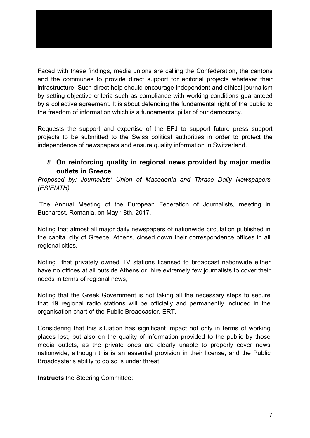Faced with these findings, media unions are calling the Confederation, the cantons and the communes to provide direct support for editorial projects whatever their infrastructure. Such direct help should encourage independent and ethical journalism by setting objective criteria such as compliance with working conditions guaranteed by a collective agreement. It is about defending the fundamental right of the public to

Requests the support and expertise of the EFJ to support future press support projects to be submitted to the Swiss political authorities in order to protect the independence of newspapers and ensure quality information in Switzerland.

the freedom of information which is a fundamental pillar of our democracy.

## *8.* **On reinforcing quality in regional news provided by major media outlets in Greece**

*Proposed by: Journalists' Union of Macedonia and Thrace Daily Newspapers (ESIEMTH)*

 The Annual Meeting of the European Federation of Journalists, meeting in Bucharest, Romania, on May 18th, 2017,

Noting that almost all major daily newspapers of nationwide circulation published in the capital city of Greece, Athens, closed down their correspondence offices in all regional cities,

Noting that privately owned TV stations licensed to broadcast nationwide either have no offices at all outside Athens or hire extremely few journalists to cover their needs in terms of regional news,

Noting that the Greek Government is not taking all the necessary steps to secure that 19 regional radio stations will be officially and permanently included in the organisation chart of the Public Broadcaster, ERT.

Considering that this situation has significant impact not only in terms of working places lost, but also on the quality of information provided to the public by those media outlets, as the private ones are clearly unable to properly cover news nationwide, although this is an essential provision in their license, and the Public Broadcaster's ability to do so is under threat,

**Instructs** the Steering Committee: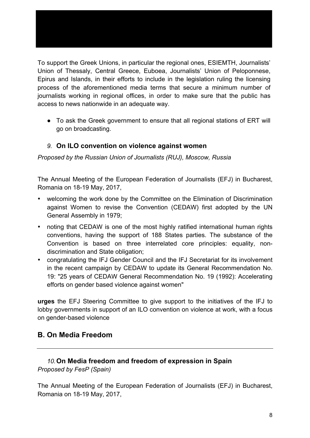To support the Greek Unions, in particular the regional ones, ESIEMTH, Journalists' Union of Thessaly, Central Greece, Euboea, Journalists' Union of Peloponnese, Epirus and Islands, in their efforts to include in the legislation ruling the licensing process of the aforementioned media terms that secure a minimum number of journalists working in regional offices, in order to make sure that the public has access to news nationwide in an adequate way.

• To ask the Greek government to ensure that all regional stations of ERT will go on broadcasting.

#### *9.* **On ILO convention on violence against women**

*Proposed by the Russian Union of Journalists (RUJ), Moscow, Russia*

The Annual Meeting of the European Federation of Journalists (EFJ) in Bucharest, Romania on 18-19 May, 2017,

- welcoming the work done by the Committee on the Elimination of Discrimination against Women to revise the Convention (CEDAW) first adopted by the UN General Assembly in 1979;
- noting that CEDAW is one of the most highly ratified international human rights conventions, having the support of 188 States parties. The substance of the Convention is based on three interrelated core principles: equality, nondiscrimination and State obligation;
- congratulating the IFJ Gender Council and the IFJ Secretariat for its involvement in the recent campaign by CEDAW to update its General Recommendation No. 19: "25 years of CEDAW General Recommendation No. 19 (1992): Accelerating efforts on gender based violence against women"

**urges** the EFJ Steering Committee to give support to the initiatives of the IFJ to lobby governments in support of an ILO convention on violence at work, with a focus on gender-based violence

#### **B. On Media Freedom**

#### *10.***On Media freedom and freedom of expression in Spain** *Proposed by FesP (Spain)*

The Annual Meeting of the European Federation of Journalists (EFJ) in Bucharest, Romania on 18-19 May, 2017,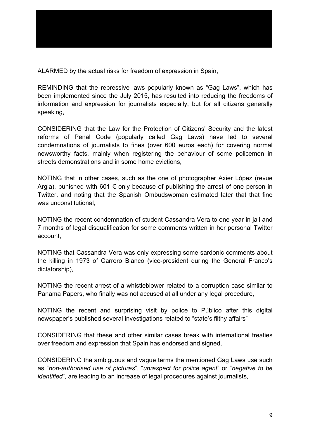ALARMED by the actual risks for freedom of expression in Spain,

REMINDING that the repressive laws popularly known as "Gag Laws", which has been implemented since the July 2015, has resulted into reducing the freedoms of information and expression for journalists especially, but for all citizens generally speaking,

CONSIDERING that the Law for the Protection of Citizens' Security and the latest reforms of Penal Code (popularly called Gag Laws) have led to several condemnations of journalists to fines (over 600 euros each) for covering normal newsworthy facts, mainly when registering the behaviour of some policemen in streets demonstrations and in some home evictions,

NOTING that in other cases, such as the one of photographer Axier López (revue Argia), punished with 601  $\epsilon$  only because of publishing the arrest of one person in Twitter, and noting that the Spanish Ombudswoman estimated later that that fine was unconstitutional,

NOTING the recent condemnation of student Cassandra Vera to one year in jail and 7 months of legal disqualification for some comments written in her personal Twitter account,

NOTING that Cassandra Vera was only expressing some sardonic comments about the killing in 1973 of Carrero Blanco (vice-president during the General Franco's dictatorship),

NOTING the recent arrest of a whistleblower related to a corruption case similar to Panama Papers, who finally was not accused at all under any legal procedure,

NOTING the recent and surprising visit by police to Público after this digital newspaper's published several investigations related to "state's filthy affairs"

CONSIDERING that these and other similar cases break with international treaties over freedom and expression that Spain has endorsed and signed,

CONSIDERING the ambiguous and vague terms the mentioned Gag Laws use such as "*non-authorised use of pictures*", "*unrespect for police agent*" or "*negative to be identified*", are leading to an increase of legal procedures against journalists,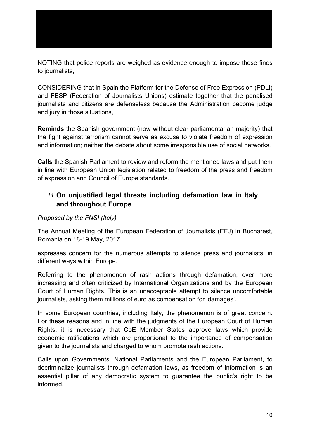NOTING that police reports are weighed as evidence enough to impose those fines to journalists,

CONSIDERING that in Spain the Platform for the Defense of Free Expression (PDLI) and FESP (Federation of Journalists Unions) estimate together that the penalised journalists and citizens are defenseless because the Administration become judge and jury in those situations,

**Reminds** the Spanish government (now without clear parliamentarian majority) that the fight against terrorism cannot serve as excuse to violate freedom of expression and information; neither the debate about some irresponsible use of social networks.

**Calls** the Spanish Parliament to review and reform the mentioned laws and put them in line with European Union legislation related to freedom of the press and freedom of expression and Council of Europe standards...

# *11.***On unjustified legal threats including defamation law in Italy and throughout Europe**

#### *Proposed by the FNSI (Italy)*

The Annual Meeting of the European Federation of Journalists (EFJ) in Bucharest, Romania on 18-19 May, 2017,

expresses concern for the numerous attempts to silence press and journalists, in different ways within Europe.

Referring to the phenomenon of rash actions through defamation, ever more increasing and often criticized by International Organizations and by the European Court of Human Rights. This is an unacceptable attempt to silence uncomfortable journalists, asking them millions of euro as compensation for 'damages'.

In some European countries, including Italy, the phenomenon is of great concern. For these reasons and in line with the judgments of the European Court of Human Rights, it is necessary that CoE Member States approve laws which provide economic ratifications which are proportional to the importance of compensation given to the journalists and charged to whom promote rash actions.

Calls upon Governments, National Parliaments and the European Parliament, to decriminalize journalists through defamation laws, as freedom of information is an essential pillar of any democratic system to guarantee the public's right to be informed.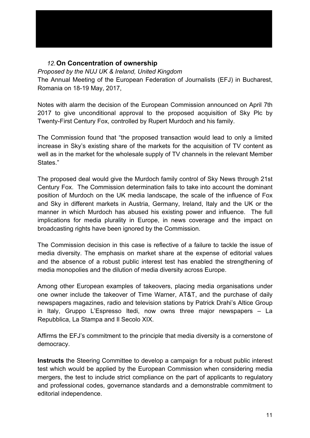# *12.***On Concentration of ownership**

#### *Proposed by the NUJ UK & Ireland, United Kingdom*

The Annual Meeting of the European Federation of Journalists (EFJ) in Bucharest, Romania on 18-19 May, 2017,

Notes with alarm the decision of the European Commission announced on April 7th 2017 to give unconditional approval to the proposed acquisition of Sky Plc by Twenty-First Century Fox, controlled by Rupert Murdoch and his family.

The Commission found that "the proposed transaction would lead to only a limited increase in Sky's existing share of the markets for the acquisition of TV content as well as in the market for the wholesale supply of TV channels in the relevant Member States."

The proposed deal would give the Murdoch family control of Sky News through 21st Century Fox. The Commission determination fails to take into account the dominant position of Murdoch on the UK media landscape, the scale of the influence of Fox and Sky in different markets in Austria, Germany, Ireland, Italy and the UK or the manner in which Murdoch has abused his existing power and influence. The full implications for media plurality in Europe, in news coverage and the impact on broadcasting rights have been ignored by the Commission.

The Commission decision in this case is reflective of a failure to tackle the issue of media diversity. The emphasis on market share at the expense of editorial values and the absence of a robust public interest test has enabled the strengthening of media monopolies and the dilution of media diversity across Europe.

Among other European examples of takeovers, placing media organisations under one owner include the takeover of Time Warner, AT&T, and the purchase of daily newspapers magazines, radio and television stations by Patrick Drahi's Altice Group in Italy, Gruppo L'Espresso Itedi, now owns three major newspapers – La Repubblica, La Stampa and Il Secolo XIX.

Affirms the EFJ's commitment to the principle that media diversity is a cornerstone of democracy.

**Instructs** the Steering Committee to develop a campaign for a robust public interest test which would be applied by the European Commission when considering media mergers, the test to include strict compliance on the part of applicants to regulatory and professional codes, governance standards and a demonstrable commitment to editorial independence.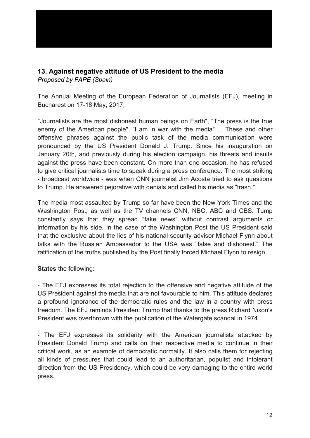# **13. Against negative attitude of US President to the media**

*Proposed by FAPE (Spain)*

The Annual Meeting of the European Federation of Journalists (EFJ), meeting in Bucharest on 17-18 May, 2017,

"Journalists are the most dishonest human beings on Earth", "The press is the true enemy of the American people", "I am in war with the media" ... These and other offensive phrases against the public task of the media communication were pronounced by the US President Donald J. Trump. Since his inauguration on January 20th, and previously during his election campaign, his threats and insults against the press have been constant. On more than one occasion, he has refused to give critical journalists time to speak during a press conference. The most striking - broadcast worldwide - was when CNN journalist Jim Acosta tried to ask questions to Trump. He answered pejorative with denials and called his media as "trash."

The media most assaulted by Trump so far have been the New York Times and the Washington Post, as well as the TV channels CNN, NBC, ABC and CBS. Tump constantly says that they spread "fake news" without contrast arguments or information by his side. In the case of the Washington Post the US President said that the exclusive about the lies of his national security advisor Michael Flynn about talks with the Russian Ambassador to the USA was "false and dishonest." The ratification of the truths published by the Post finally forced Michael Flynn to resign.

#### **States** the following:

- The EFJ expresses its total rejection to the offensive and negative attitude of the US President against the media that are not favourable to him. This attitude declares a profound ignorance of the democratic rules and the law in a country with press freedom. The EFJ reminds President Trump that thanks to the press Richard Nixon's President was overthrown with the publication of the Watergate scandal in 1974.

- The EFJ expresses its solidarity with the American journalists attacked by President Donald Trump and calls on their respective media to continue in their critical work, as an example of democratic normality. It also calls them for rejecting all kinds of pressures that could lead to an authoritarian, populist and intolerant direction from the US Presidency, which could be very damaging to the entire world press.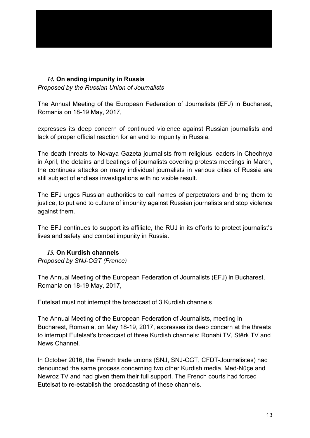## *14.* **On ending impunity in Russia**

*Proposed by the Russian Union of Journalists*

The Annual Meeting of the European Federation of Journalists (EFJ) in Bucharest, Romania on 18-19 May, 2017,

expresses its deep concern of continued violence against Russian journalists and lack of proper official reaction for an end to impunity in Russia.

The death threats to Novaya Gazeta journalists from religious leaders in Chechnya in April, the detains and beatings of journalists covering protests meetings in March, the continues attacks on many individual journalists in various cities of Russia are still subject of endless investigations with no visible result.

The EFJ urges Russian authorities to call names of perpetrators and bring them to justice, to put end to culture of impunity against Russian journalists and stop violence against them.

The EFJ continues to support its affiliate, the RUJ in its efforts to protect journalist's lives and safety and combat impunity in Russia.

#### *15.* **On Kurdish channels**

*Proposed by SNJ-CGT (France)*

The Annual Meeting of the European Federation of Journalists (EFJ) in Bucharest, Romania on 18-19 May, 2017,

Eutelsat must not interrupt the broadcast of 3 Kurdish channels

The Annual Meeting of the European Federation of Journalists, meeting in Bucharest, Romania, on May 18-19, 2017, expresses its deep concern at the threats to interrupt Eutelsat's broadcast of three Kurdish channels: Ronahi TV, Stêrk TV and News Channel.

In October 2016, the French trade unions (SNJ, SNJ-CGT, CFDT-Journalistes) had denounced the same process concerning two other Kurdish media, Med-Nûçe and Newroz TV and had given them their full support. The French courts had forced Eutelsat to re-establish the broadcasting of these channels.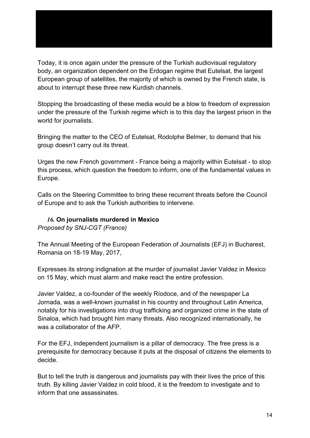Today, it is once again under the pressure of the Turkish audiovisual regulatory body, an organization dependent on the Erdogan regime that Eutelsat, the largest European group of satellites, the majority of which is owned by the French state, is about to interrupt these three new Kurdish channels.

Stopping the broadcasting of these media would be a blow to freedom of expression under the pressure of the Turkish regime which is to this day the largest prison in the world for journalists.

Bringing the matter to the CEO of Eutelsat, Rodolphe Belmer, to demand that his group doesn't carry out its threat.

Urges the new French government - France being a majority within Eutelsat - to stop this process, which question the freedom to inform, one of the fundamental values in Europe.

Calls on the Steering Committee to bring these recurrent threats before the Council of Europe and to ask the Turkish authorities to intervene.

## *16.* **On journalists murdered in Mexico**

*Proposed by SNJ-CGT (France)*

The Annual Meeting of the European Federation of Journalists (EFJ) in Bucharest, Romania on 18-19 May, 2017,

Expresses its strong indignation at the murder of journalist Javier Valdez in Mexico on 15 May, which must alarm and make react the entire profession.

Javier Valdez, a co-founder of the weekly Ríodoce, and of the newspaper La Jornada, was a well-known journalist in his country and throughout Latin America, notably for his investigations into drug trafficking and organized crime in the state of Sinaloa, which had brought him many threats. Also recognized internationally, he was a collaborator of the AFP.

For the EFJ, independent journalism is a pillar of democracy. The free press is a prerequisite for democracy because it puts at the disposal of citizens the elements to decide.

But to tell the truth is dangerous and journalists pay with their lives the price of this truth. By killing Javier Valdez in cold blood, it is the freedom to investigate and to inform that one assassinates.